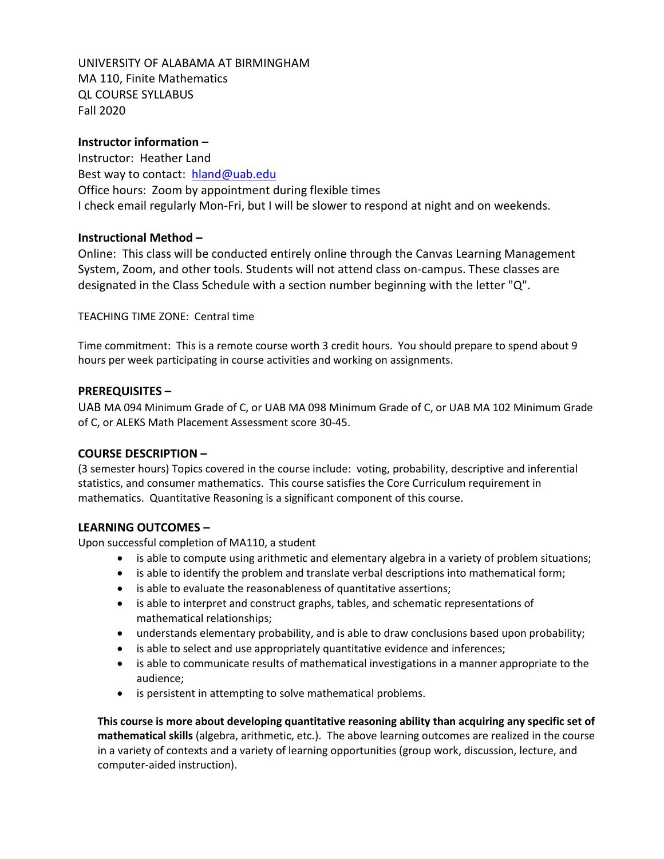UNIVERSITY OF ALABAMA AT BIRMINGHAM MA 110, Finite Mathematics QL COURSE SYLLABUS Fall 2020

## **Instructor information –**

Instructor: Heather Land Best way to contact: [hland@uab.edu](mailto:hland@uab.edu) Office hours: Zoom by appointment during flexible times I check email regularly Mon-Fri, but I will be slower to respond at night and on weekends.

### **Instructional Method –**

Online: This class will be conducted entirely online through the Canvas Learning Management System, Zoom, and other tools. Students will not attend class on-campus. These classes are designated in the Class Schedule with a section number beginning with the letter "Q".

TEACHING TIME ZONE: Central time

Time commitment: This is a remote course worth 3 credit hours. You should prepare to spend about 9 hours per week participating in course activities and working on assignments.

### **PREREQUISITES –**

UAB MA 094 Minimum Grade of C, or UAB MA 098 Minimum Grade of C, or UAB MA 102 Minimum Grade of C, or ALEKS Math Placement Assessment score 30-45.

### **COURSE DESCRIPTION –**

(3 semester hours) Topics covered in the course include: voting, probability, descriptive and inferential statistics, and consumer mathematics. This course satisfies the Core Curriculum requirement in mathematics. Quantitative Reasoning is a significant component of this course.

## **LEARNING OUTCOMES –**

Upon successful completion of MA110, a student

- is able to compute using arithmetic and elementary algebra in a variety of problem situations;
- is able to identify the problem and translate verbal descriptions into mathematical form;
- is able to evaluate the reasonableness of quantitative assertions;
- is able to interpret and construct graphs, tables, and schematic representations of mathematical relationships;
- understands elementary probability, and is able to draw conclusions based upon probability;
- is able to select and use appropriately quantitative evidence and inferences;
- is able to communicate results of mathematical investigations in a manner appropriate to the audience;
- is persistent in attempting to solve mathematical problems.

**This course is more about developing quantitative reasoning ability than acquiring any specific set of mathematical skills** (algebra, arithmetic, etc.). The above learning outcomes are realized in the course in a variety of contexts and a variety of learning opportunities (group work, discussion, lecture, and computer-aided instruction).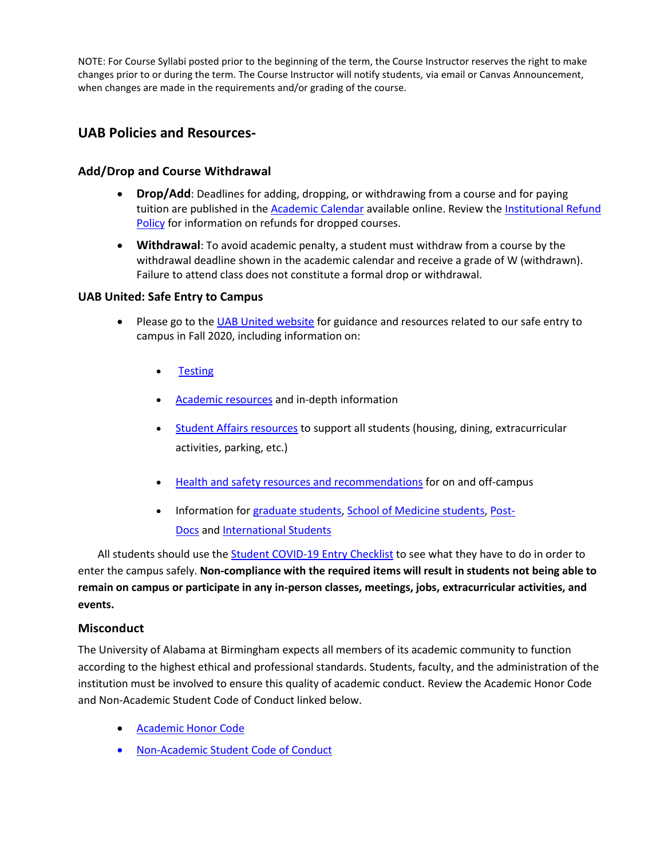NOTE: For Course Syllabi posted prior to the beginning of the term, the Course Instructor reserves the right to make changes prior to or during the term. The Course Instructor will notify students, via email or Canvas Announcement, when changes are made in the requirements and/or grading of the course.

# **UAB Policies and Resources-**

## **Add/Drop and Course Withdrawal**

- **Drop/Add**: Deadlines for adding, dropping, or withdrawing from a course and for paying tuition are published in the [Academic Calendar](https://www.uab.edu/students/academics/academic-calendar) available online. Review th[e Institutional Refund](https://www.uab.edu/students/one-stop/policies/institutional-refund-policy)  [Policy](https://www.uab.edu/students/one-stop/policies/institutional-refund-policy) for information on refunds for dropped courses.
- **Withdrawal**: To avoid academic penalty, a student must withdraw from a course by the withdrawal deadline shown in the academic calendar and receive a grade of W (withdrawn). Failure to attend class does not constitute a formal drop or withdrawal.

### **UAB United: Safe Entry to Campus**

- Please go to the [UAB United website](https://www.uab.edu/uabunited/students) for guidance and resources related to our safe entry to campus in Fall 2020, including information on:
	- **[Testing](https://www.uab.edu/uabunited/students/testing)**
	- [Academic resources](https://www.uab.edu/uabunited/students/academics) and in-depth information
	- [Student Affairs resources](https://www.uab.edu/uabunited/students/student-affairs) to support all students (housing, dining, extracurricular activities, parking, etc.)
	- [Health and safety resources and recommendations](https://www.uab.edu/uabunited/students/health-safety) for on and off-campus
	- Information for [graduate students,](https://www.uab.edu/graduate/about/graduate-school-covid-19-updates) [School of Medicine students,](https://www.uab.edu/medicine/home/covid-19-updates) [Post-](https://www.uab.edu/postdocs/covid-19)[Docs](https://www.uab.edu/postdocs/covid-19) and [International Students](https://www.uab.edu/global/about/programs-services/isss/faqs-concerning-recent-sevp-guidance-and-covid-19-planning)

All students should use the [Student COVID-19 Entry Checklist](https://www.uab.edu/uabunited/entry-checklists#student-checklist) to see what they have to do in order to enter the campus safely. **Non-compliance with the required items will result in students not being able to remain on campus or participate in any in-person classes, meetings, jobs, extracurricular activities, and events.**

### **Misconduct**

The University of Alabama at Birmingham expects all members of its academic community to function according to the highest ethical and professional standards. Students, faculty, and the administration of the institution must be involved to ensure this quality of academic conduct. Review the Academic Honor Code and Non-Academic Student Code of Conduct linked below.

- [Academic Honor Code](http://www.uab.edu/students/one-stop/policies/academic-honor-code)
- [Non-Academic Student Code of Conduct](http://www.uab.edu/studentconduct)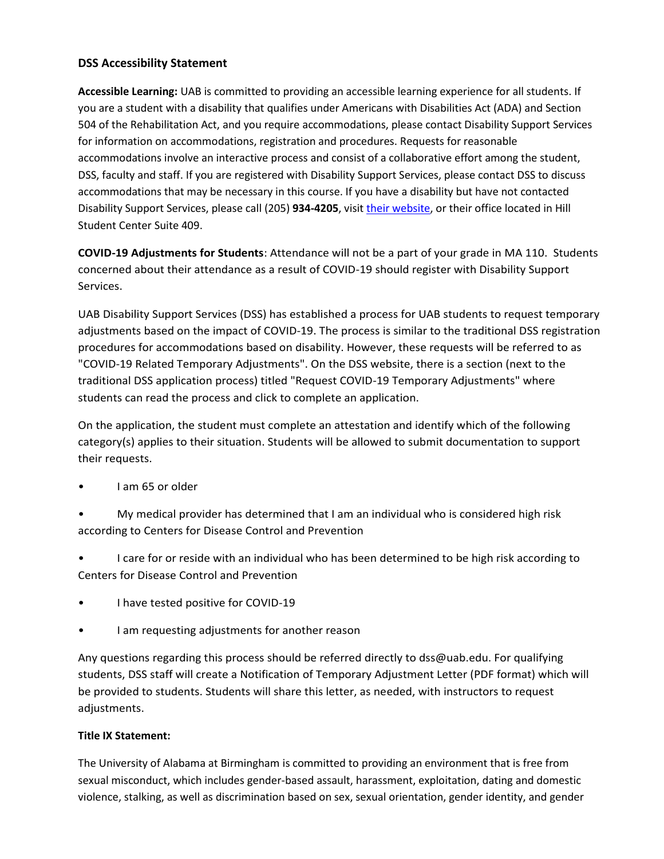## **DSS Accessibility Statement**

**Accessible Learning:** UAB is committed to providing an accessible learning experience for all students. If you are a student with a disability that qualifies under Americans with Disabilities Act (ADA) and Section 504 of the Rehabilitation Act, and you require accommodations, please contact Disability Support Services for information on accommodations, registration and procedures. Requests for reasonable accommodations involve an interactive process and consist of a collaborative effort among the student, DSS, faculty and staff. If you are registered with Disability Support Services, please contact DSS to discuss accommodations that may be necessary in this course. If you have a disability but have not contacted Disability Support Services, please call (205) **934-4205**, visit [their website,](http://www.uab.edu/dss) or their office located in Hill Student Center Suite 409.

**COVID-19 Adjustments for Students**: Attendance will not be a part of your grade in MA 110. Students concerned about their attendance as a result of COVID-19 should register with Disability Support Services.

UAB Disability Support Services (DSS) has established a process for UAB students to request temporary adjustments based on the impact of COVID-19. The process is similar to the traditional DSS registration procedures for accommodations based on disability. However, these requests will be referred to as "COVID-19 Related Temporary Adjustments". On the DSS website, there is a section (next to the traditional DSS application process) titled "Request COVID-19 Temporary Adjustments" where students can read the process and click to complete an application.

On the application, the student must complete an attestation and identify which of the following category(s) applies to their situation. Students will be allowed to submit documentation to support their requests.

- I am 65 or older
- My medical provider has determined that I am an individual who is considered high risk according to Centers for Disease Control and Prevention

• I care for or reside with an individual who has been determined to be high risk according to Centers for Disease Control and Prevention

- I have tested positive for COVID-19
- I am requesting adjustments for another reason

Any questions regarding this process should be referred directly to dss@uab.edu. For qualifying students, DSS staff will create a Notification of Temporary Adjustment Letter (PDF format) which will be provided to students. Students will share this letter, as needed, with instructors to request adjustments.

## **Title IX Statement:**

The University of Alabama at Birmingham is committed to providing an environment that is free from sexual misconduct, which includes gender-based assault, harassment, exploitation, dating and domestic violence, stalking, as well as discrimination based on sex, sexual orientation, gender identity, and gender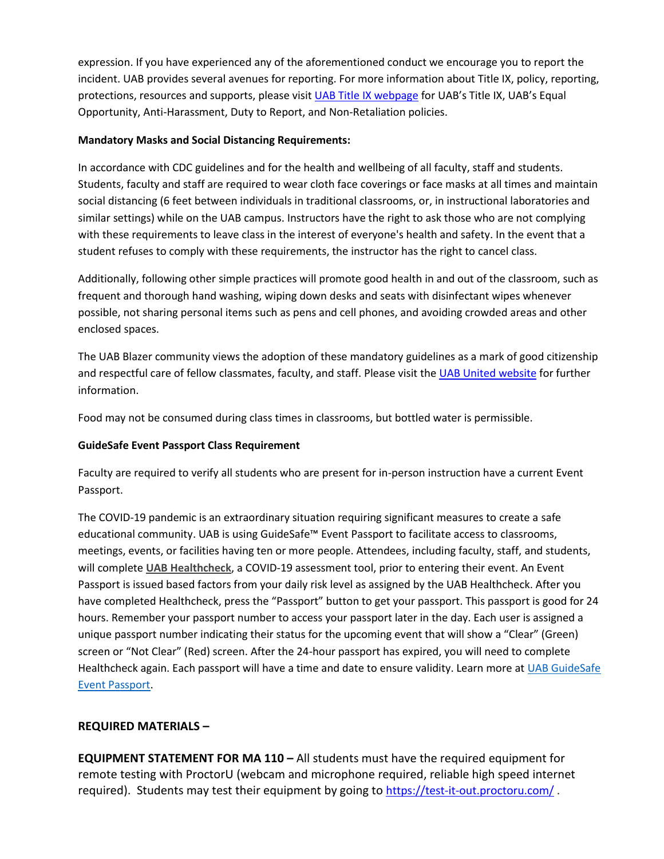expression. If you have experienced any of the aforementioned conduct we encourage you to report the incident. UAB provides several avenues for reporting. For more information about Title IX, policy, reporting, protections, resources and supports, please visit [UAB Title IX webpage](http://www.uab.edu/titleix) for UAB's Title IX, UAB's Equal Opportunity, Anti-Harassment, Duty to Report, and Non-Retaliation policies.

## **Mandatory Masks and Social Distancing Requirements:**

In accordance with CDC guidelines and for the health and wellbeing of all faculty, staff and students. Students, faculty and staff are required to wear cloth face coverings or face masks at all times and maintain social distancing (6 feet between individuals in traditional classrooms, or, in instructional laboratories and similar settings) while on the UAB campus. Instructors have the right to ask those who are not complying with these requirements to leave class in the interest of everyone's health and safety. In the event that a student refuses to comply with these requirements, the instructor has the right to cancel class.

Additionally, following other simple practices will promote good health in and out of the classroom, such as frequent and thorough hand washing, wiping down desks and seats with disinfectant wipes whenever possible, not sharing personal items such as pens and cell phones, and avoiding crowded areas and other enclosed spaces.

The UAB Blazer community views the adoption of these mandatory guidelines as a mark of good citizenship and respectful care of fellow classmates, faculty, and staff. Please visit the [UAB United website](https://www.uab.edu/uabunited/students) for further information.

Food may not be consumed during class times in classrooms, but bottled water is permissible.

# **GuideSafe Event Passport Class Requirement**

Faculty are required to verify all students who are present for in-person instruction have a current Event Passport.

The COVID-19 pandemic is an extraordinary situation requiring significant measures to create a safe educational community. UAB is using GuideSafe™ Event Passport to facilitate access to classrooms, meetings, events, or facilities having ten or more people. Attendees, including faculty, staff, and students, will complete **[UAB Healthcheck](https://www.uab.edu/uabunited/uab-healthcheck)**, a COVID-19 assessment tool, prior to entering their event. An Event Passport is issued based factors from your daily risk level as assigned by the UAB Healthcheck. After you have completed Healthcheck, press the "Passport" button to get your passport. This passport is good for 24 hours. Remember your passport number to access your passport later in the day. Each user is assigned a unique passport number indicating their status for the upcoming event that will show a "Clear" (Green) screen or "Not Clear" (Red) screen. After the 24-hour passport has expired, you will need to complete Healthcheck again. Each passport will have a time and date to ensure validity. Learn more at [UAB GuideSafe](https://www.uab.edu/uabunited/guidesafe-event-passport)  [Event Passport.](https://www.uab.edu/uabunited/guidesafe-event-passport)

# **REQUIRED MATERIALS –**

**EQUIPMENT STATEMENT FOR MA 110 –** All students must have the required equipment for remote testing with ProctorU (webcam and microphone required, reliable high speed internet required). Students may test their equipment by going to <https://test-it-out.proctoru.com/>.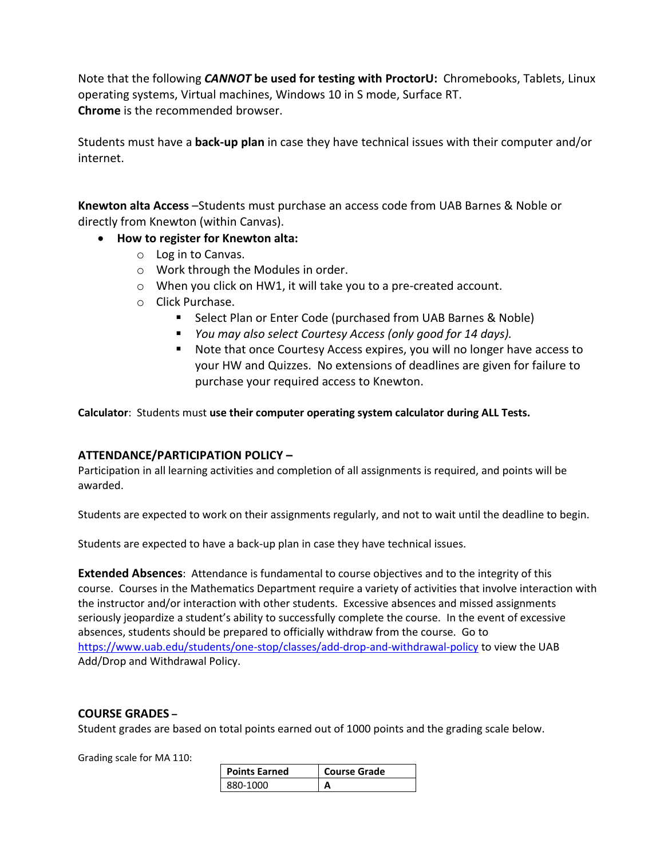Note that the following *CANNOT* **be used for testing with ProctorU:** Chromebooks, Tablets, Linux operating systems, Virtual machines, Windows 10 in S mode, Surface RT. **Chrome** is the recommended browser.

Students must have a **back-up plan** in case they have technical issues with their computer and/or internet.

**Knewton alta Access** –Students must purchase an access code from UAB Barnes & Noble or directly from Knewton (within Canvas).

- **How to register for Knewton alta:**
	- o Log in to Canvas.
	- o Work through the Modules in order.
	- o When you click on HW1, it will take you to a pre-created account.
	- o Click Purchase.
		- Select Plan or Enter Code (purchased from UAB Barnes & Noble)
		- *You may also select Courtesy Access (only good for 14 days).*
		- Note that once Courtesy Access expires, you will no longer have access to your HW and Quizzes. No extensions of deadlines are given for failure to purchase your required access to Knewton.

**Calculator**: Students must **use their computer operating system calculator during ALL Tests.** 

## **ATTENDANCE/PARTICIPATION POLICY –**

Participation in all learning activities and completion of all assignments is required, and points will be awarded.

Students are expected to work on their assignments regularly, and not to wait until the deadline to begin.

Students are expected to have a back-up plan in case they have technical issues.

**Extended Absences**: Attendance is fundamental to course objectives and to the integrity of this course. Courses in the Mathematics Department require a variety of activities that involve interaction with the instructor and/or interaction with other students. Excessive absences and missed assignments seriously jeopardize a student's ability to successfully complete the course. In the event of excessive absences, students should be prepared to officially withdraw from the course. Go to <https://www.uab.edu/students/one-stop/classes/add-drop-and-withdrawal-policy> to view the UAB Add/Drop and Withdrawal Policy.

## **COURSE GRADES –**

Student grades are based on total points earned out of 1000 points and the grading scale below.

Grading scale for MA 110:

| <b>Points Earned</b> | <b>Course Grade</b> |
|----------------------|---------------------|
| 880-1000             |                     |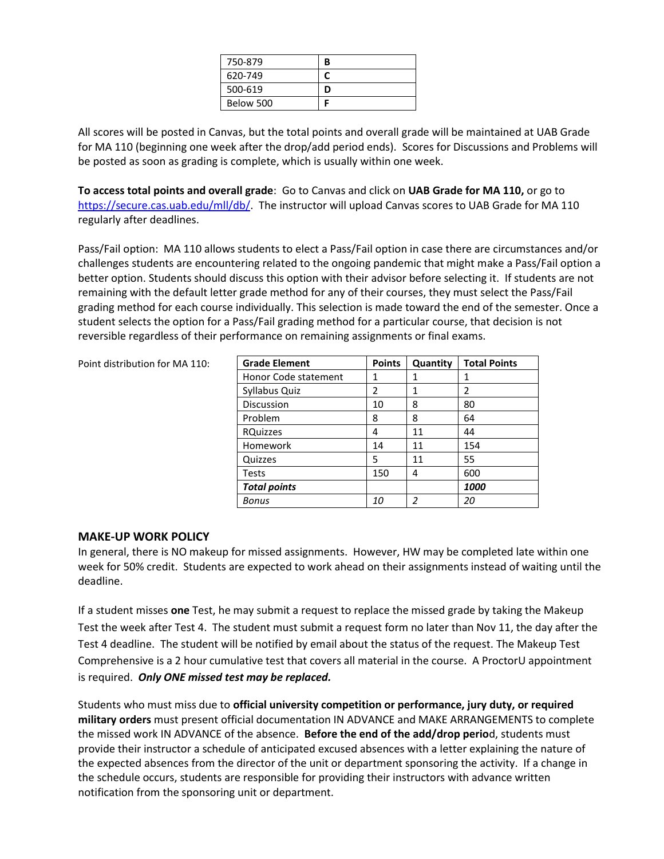| 750-879   | R |
|-----------|---|
| 620-749   |   |
| 500-619   | D |
| Below 500 |   |

All scores will be posted in Canvas, but the total points and overall grade will be maintained at UAB Grade for MA 110 (beginning one week after the drop/add period ends). Scores for Discussions and Problems will be posted as soon as grading is complete, which is usually within one week.

**To access total points and overall grade**: Go to Canvas and click on **UAB Grade for MA 110,** or go to [https://secure.cas.uab.edu/mll/db/.](https://secure.cas.uab.edu/mll/db/) The instructor will upload Canvas scores to UAB Grade for MA 110 regularly after deadlines.

Pass/Fail option: MA 110 allows students to elect a Pass/Fail option in case there are circumstances and/or challenges students are encountering related to the ongoing pandemic that might make a Pass/Fail option a better option. Students should discuss this option with their advisor before selecting it. If students are not remaining with the default letter grade method for any of their courses, they must select the Pass/Fail grading method for each course individually. This selection is made toward the end of the semester. Once a student selects the option for a Pass/Fail grading method for a particular course, that decision is not reversible regardless of their performance on remaining assignments or final exams.

Point distribution for MA 110:

| <b>Grade Element</b> | <b>Points</b> | Quantity | <b>Total Points</b> |
|----------------------|---------------|----------|---------------------|
| Honor Code statement | 1             | 1        | 1                   |
| Syllabus Quiz        | 2             | 1        | 2                   |
| Discussion           | 10            | 8        | 80                  |
| Problem              | 8             | 8        | 64                  |
| <b>RQuizzes</b>      | 4             | 11       | 44                  |
| Homework             | 14            | 11       | 154                 |
| Quizzes              | 5             | 11       | 55                  |
| <b>Tests</b>         | 150           | 4        | 600                 |
| <b>Total points</b>  |               |          | 1000                |
| Bonus                | 10            | 2        | 20                  |

### **MAKE-UP WORK POLICY**

In general, there is NO makeup for missed assignments. However, HW may be completed late within one week for 50% credit. Students are expected to work ahead on their assignments instead of waiting until the deadline.

If a student misses **one** Test, he may submit a request to replace the missed grade by taking the Makeup Test the week after Test 4. The student must submit a request form no later than Nov 11, the day after the Test 4 deadline. The student will be notified by email about the status of the request. The Makeup Test Comprehensive is a 2 hour cumulative test that covers all material in the course. A ProctorU appointment is required. *Only ONE missed test may be replaced.*

Students who must miss due to **official university competition or performance, jury duty, or required military orders** must present official documentation IN ADVANCE and MAKE ARRANGEMENTS to complete the missed work IN ADVANCE of the absence. **Before the end of the add/drop perio**d, students must provide their instructor a schedule of anticipated excused absences with a letter explaining the nature of the expected absences from the director of the unit or department sponsoring the activity. If a change in the schedule occurs, students are responsible for providing their instructors with advance written notification from the sponsoring unit or department.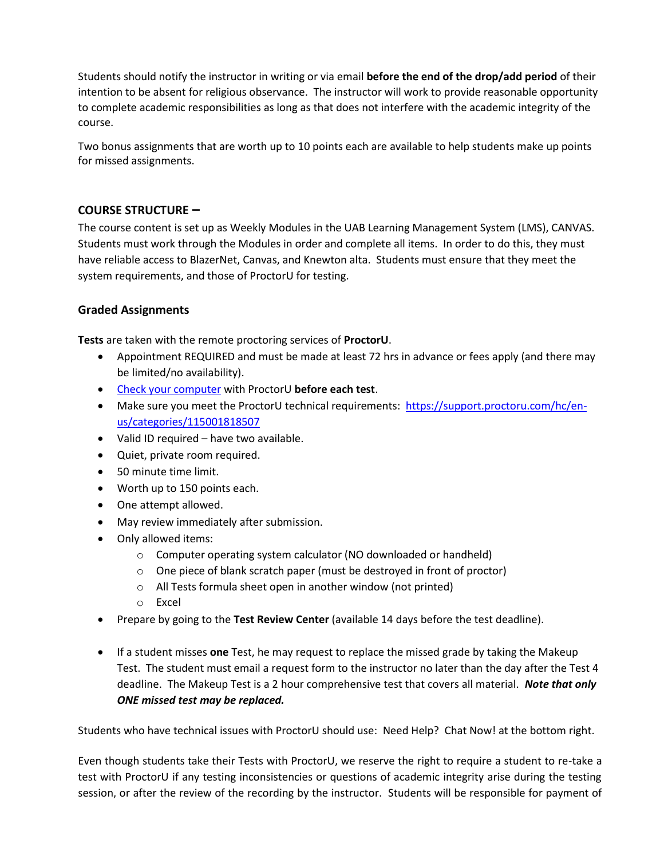Students should notify the instructor in writing or via email **before the end of the drop/add period** of their intention to be absent for religious observance. The instructor will work to provide reasonable opportunity to complete academic responsibilities as long as that does not interfere with the academic integrity of the course.

Two bonus assignments that are worth up to 10 points each are available to help students make up points for missed assignments.

## **COURSE STRUCTURE –**

The course content is set up as Weekly Modules in the UAB Learning Management System (LMS), CANVAS. Students must work through the Modules in order and complete all items. In order to do this, they must have reliable access to BlazerNet, Canvas, and Knewton alta. Students must ensure that they meet the system requirements, and those of ProctorU for testing.

## **Graded Assignments**

**Tests** are taken with the remote proctoring services of **ProctorU**.

- Appointment REQUIRED and must be made at least 72 hrs in advance or fees apply (and there may be limited/no availability).
- [Check your computer](https://proctoru.com/testitout) with ProctorU **before each test**.
- Make sure you meet the ProctorU technical requirements: [https://support.proctoru.com/hc/en](https://support.proctoru.com/hc/en-us/categories/115001818507)[us/categories/115001818507](https://support.proctoru.com/hc/en-us/categories/115001818507)
- Valid ID required have two available.
- Quiet, private room required.
- 50 minute time limit.
- Worth up to 150 points each.
- One attempt allowed.
- May review immediately after submission.
- Only allowed items:
	- o Computer operating system calculator (NO downloaded or handheld)
	- o One piece of blank scratch paper (must be destroyed in front of proctor)
	- o All Tests formula sheet open in another window (not printed)
	- o Excel
- Prepare by going to the **Test Review Center** (available 14 days before the test deadline).
- If a student misses **one** Test, he may request to replace the missed grade by taking the Makeup Test. The student must email a request form to the instructor no later than the day after the Test 4 deadline. The Makeup Test is a 2 hour comprehensive test that covers all material. *Note that only ONE missed test may be replaced.*

Students who have technical issues with ProctorU should use: Need Help? Chat Now! at the bottom right.

Even though students take their Tests with ProctorU, we reserve the right to require a student to re-take a test with ProctorU if any testing inconsistencies or questions of academic integrity arise during the testing session, or after the review of the recording by the instructor. Students will be responsible for payment of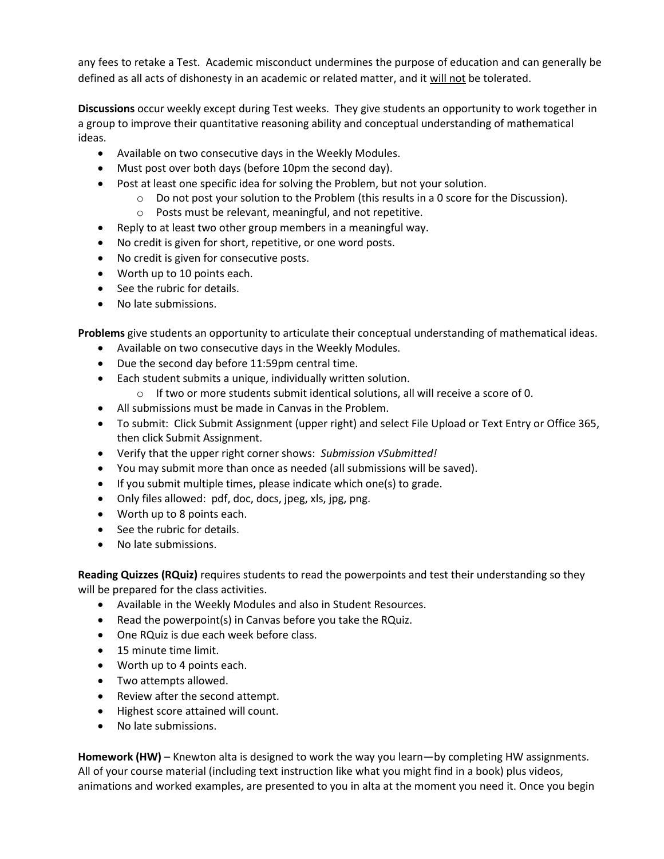any fees to retake a Test. Academic misconduct undermines the purpose of education and can generally be defined as all acts of dishonesty in an academic or related matter, and it will not be tolerated.

**Discussions** occur weekly except during Test weeks. They give students an opportunity to work together in a group to improve their quantitative reasoning ability and conceptual understanding of mathematical ideas.

- Available on two consecutive days in the Weekly Modules.
- Must post over both days (before 10pm the second day).
- Post at least one specific idea for solving the Problem, but not your solution.
	- $\circ$  Do not post your solution to the Problem (this results in a 0 score for the Discussion).
	- o Posts must be relevant, meaningful, and not repetitive.
- Reply to at least two other group members in a meaningful way.
- No credit is given for short, repetitive, or one word posts.
- No credit is given for consecutive posts.
- Worth up to 10 points each.
- See the rubric for details.
- No late submissions.

**Problems** give students an opportunity to articulate their conceptual understanding of mathematical ideas.

- Available on two consecutive days in the Weekly Modules.
- Due the second day before 11:59pm central time.
- Each student submits a unique, individually written solution.
	- o If two or more students submit identical solutions, all will receive a score of 0.
- All submissions must be made in Canvas in the Problem.
- To submit: Click Submit Assignment (upper right) and select File Upload or Text Entry or Office 365, then click Submit Assignment.
- Verify that the upper right corner shows: *Submission √Submitted!*
- You may submit more than once as needed (all submissions will be saved).
- If you submit multiple times, please indicate which one(s) to grade.
- Only files allowed: pdf, doc, docs, jpeg, xls, jpg, png.
- Worth up to 8 points each.
- See the rubric for details.
- No late submissions.

**Reading Quizzes (RQuiz)** requires students to read the powerpoints and test their understanding so they will be prepared for the class activities.

- Available in the Weekly Modules and also in Student Resources.
- Read the powerpoint(s) in Canvas before you take the RQuiz.
- One RQuiz is due each week before class.
- 15 minute time limit.
- Worth up to 4 points each.
- Two attempts allowed.
- Review after the second attempt.
- Highest score attained will count.
- No late submissions.

**Homework (HW)** – Knewton alta is designed to work the way you learn—by completing HW assignments. All of your course material (including text instruction like what you might find in a book) plus videos, animations and worked examples, are presented to you in alta at the moment you need it. Once you begin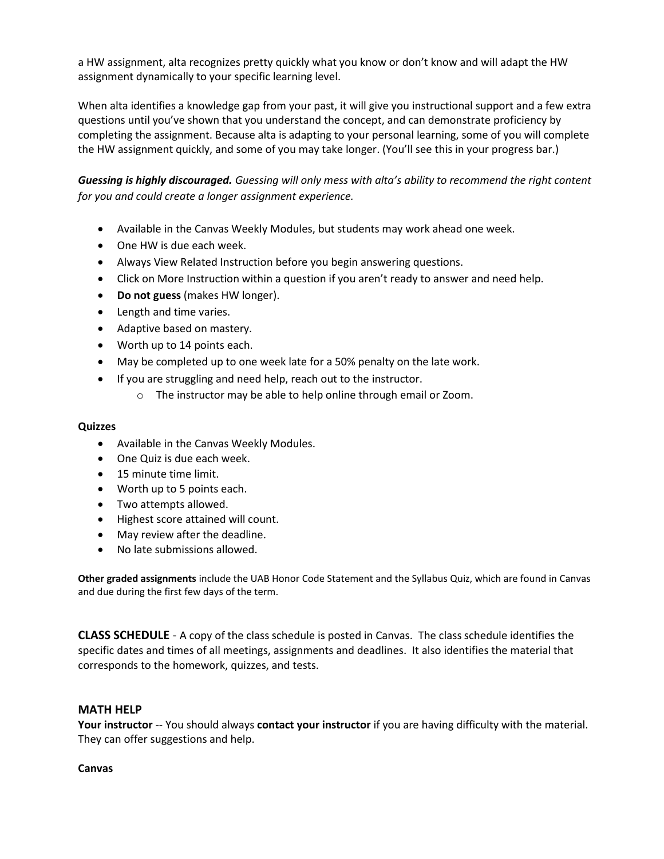a HW assignment, alta recognizes pretty quickly what you know or don't know and will adapt the HW assignment dynamically to your specific learning level.

When alta identifies a knowledge gap from your past, it will give you instructional support and a few extra questions until you've shown that you understand the concept, and can demonstrate proficiency by completing the assignment. Because alta is adapting to your personal learning, some of you will complete the HW assignment quickly, and some of you may take longer. (You'll see this in your progress bar.)

*Guessing is highly discouraged. Guessing will only mess with alta's ability to recommend the right content for you and could create a longer assignment experience.*

- Available in the Canvas Weekly Modules, but students may work ahead one week.
- One HW is due each week.
- Always View Related Instruction before you begin answering questions.
- Click on More Instruction within a question if you aren't ready to answer and need help.
- **Do not guess** (makes HW longer).
- Length and time varies.
- Adaptive based on mastery.
- Worth up to 14 points each.
- May be completed up to one week late for a 50% penalty on the late work.
- If you are struggling and need help, reach out to the instructor.
	- o The instructor may be able to help online through email or Zoom.

#### **Quizzes**

- Available in the Canvas Weekly Modules.
- One Quiz is due each week.
- 15 minute time limit.
- Worth up to 5 points each.
- Two attempts allowed.
- Highest score attained will count.
- May review after the deadline.
- No late submissions allowed.

**Other graded assignments** include the UAB Honor Code Statement and the Syllabus Quiz, which are found in Canvas and due during the first few days of the term.

**CLASS SCHEDULE** - A copy of the class schedule is posted in Canvas. The class schedule identifies the specific dates and times of all meetings, assignments and deadlines. It also identifies the material that corresponds to the homework, quizzes, and tests.

### **MATH HELP**

**Your instructor** -- You should always **contact your instructor** if you are having difficulty with the material. They can offer suggestions and help.

#### **Canvas**